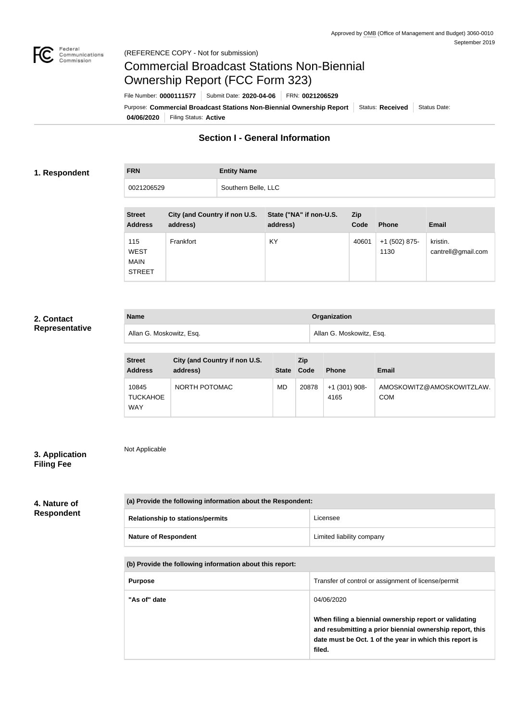

# Commercial Broadcast Stations Non-Biennial Ownership Report (FCC Form 323)

**04/06/2020** Filing Status: **Active** Purpose: Commercial Broadcast Stations Non-Biennial Ownership Report Status: Received Status Date: File Number: **0000111577** Submit Date: **2020-04-06** FRN: **0021206529**

## **Section I - General Information**

#### **1. Respondent**

**FRN Entity Name** 0021206529 | Southern Belle, LLC

| <b>Street</b><br><b>Address</b>                    | City (and Country if non U.S.<br>address) | State ("NA" if non-U.S.<br>address) | Zip<br>Code | <b>Phone</b>          | <b>Email</b>                   |
|----------------------------------------------------|-------------------------------------------|-------------------------------------|-------------|-----------------------|--------------------------------|
| 115<br><b>WEST</b><br><b>MAIN</b><br><b>STREET</b> | Frankfort                                 | KY                                  | 40601       | +1 (502) 875-<br>1130 | kristin.<br>cantrell@gmail.com |

## **2. Contact Representative**

| <b>Name</b>              | <b>Organization</b>      |
|--------------------------|--------------------------|
| Allan G. Moskowitz, Esq. | Allan G. Moskowitz, Esq. |

| <b>Street</b><br><b>Address</b>        | City (and Country if non U.S.<br>address) | <b>State</b> | <b>Zip</b><br>Code | <b>Phone</b>          | <b>Email</b>                            |
|----------------------------------------|-------------------------------------------|--------------|--------------------|-----------------------|-----------------------------------------|
| 10845<br><b>TUCKAHOE</b><br><b>WAY</b> | NORTH POTOMAC                             | MD           | 20878              | +1 (301) 908-<br>4165 | AMOSKOWITZ@AMOSKOWITZLAW.<br><b>COM</b> |

## **3. Application Filing Fee**

Not Applicable

**4. Nature of Respondent**

| (a) Provide the following information about the Respondent: |                           |  |  |
|-------------------------------------------------------------|---------------------------|--|--|
| <b>Relationship to stations/permits</b>                     | Licensee                  |  |  |
| <b>Nature of Respondent</b>                                 | Limited liability company |  |  |

**(b) Provide the following information about this report:**

| <b>Purpose</b> | Transfer of control or assignment of license/permit                                                                                                                                    |
|----------------|----------------------------------------------------------------------------------------------------------------------------------------------------------------------------------------|
| "As of" date   | 04/06/2020                                                                                                                                                                             |
|                | When filing a biennial ownership report or validating<br>and resubmitting a prior biennial ownership report, this<br>date must be Oct. 1 of the year in which this report is<br>filed. |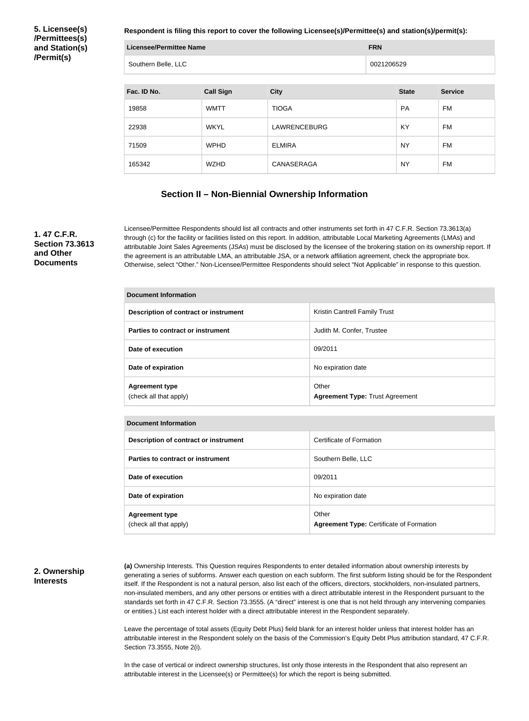**5. Licensee(s) /Permittees(s) and Station(s) /Permit(s)**

**Respondent is filing this report to cover the following Licensee(s)/Permittee(s) and station(s)/permit(s):**

| Licensee/Permittee Name | <b>FRN</b> |
|-------------------------|------------|
| Southern Belle, LLC     | 0021206529 |

| Fac. ID No. | <b>Call Sign</b> | <b>City</b>         | <b>State</b> | <b>Service</b> |
|-------------|------------------|---------------------|--------------|----------------|
| 19858       | <b>WMTT</b>      | <b>TIOGA</b>        | PA           | FM             |
| 22938       | <b>WKYL</b>      | <b>LAWRENCEBURG</b> | KY           | FM             |
| 71509       | <b>WPHD</b>      | <b>ELMIRA</b>       | <b>NY</b>    | FM             |
| 165342      | <b>WZHD</b>      | CANASERAGA          | <b>NY</b>    | FM             |

## **Section II – Non-Biennial Ownership Information**

#### **1. 47 C.F.R. Section 73.3613 and Other Documents**

Licensee/Permittee Respondents should list all contracts and other instruments set forth in 47 C.F.R. Section 73.3613(a) through (c) for the facility or facilities listed on this report. In addition, attributable Local Marketing Agreements (LMAs) and attributable Joint Sales Agreements (JSAs) must be disclosed by the licensee of the brokering station on its ownership report. If the agreement is an attributable LMA, an attributable JSA, or a network affiliation agreement, check the appropriate box. Otherwise, select "Other." Non-Licensee/Permittee Respondents should select "Not Applicable" in response to this question.

| <b>Document Information</b>                     |                                                 |  |  |
|-------------------------------------------------|-------------------------------------------------|--|--|
| Description of contract or instrument           | <b>Kristin Cantrell Family Trust</b>            |  |  |
| Parties to contract or instrument               | Judith M. Confer, Trustee                       |  |  |
| Date of execution                               | 09/2011                                         |  |  |
| Date of expiration                              | No expiration date                              |  |  |
| <b>Agreement type</b><br>(check all that apply) | Other<br><b>Agreement Type: Trust Agreement</b> |  |  |

| Document Information                            |                                                          |  |  |
|-------------------------------------------------|----------------------------------------------------------|--|--|
| Description of contract or instrument           | Certificate of Formation                                 |  |  |
| Parties to contract or instrument               | Southern Belle, LLC                                      |  |  |
| Date of execution                               | 09/2011                                                  |  |  |
| Date of expiration                              | No expiration date                                       |  |  |
| <b>Agreement type</b><br>(check all that apply) | Other<br><b>Agreement Type: Certificate of Formation</b> |  |  |

#### **2. Ownership Interests**

**(a)** Ownership Interests. This Question requires Respondents to enter detailed information about ownership interests by generating a series of subforms. Answer each question on each subform. The first subform listing should be for the Respondent itself. If the Respondent is not a natural person, also list each of the officers, directors, stockholders, non-insulated partners, non-insulated members, and any other persons or entities with a direct attributable interest in the Respondent pursuant to the standards set forth in 47 C.F.R. Section 73.3555. (A "direct" interest is one that is not held through any intervening companies or entities.) List each interest holder with a direct attributable interest in the Respondent separately.

Leave the percentage of total assets (Equity Debt Plus) field blank for an interest holder unless that interest holder has an attributable interest in the Respondent solely on the basis of the Commission's Equity Debt Plus attribution standard, 47 C.F.R. Section 73.3555, Note 2(i).

In the case of vertical or indirect ownership structures, list only those interests in the Respondent that also represent an attributable interest in the Licensee(s) or Permittee(s) for which the report is being submitted.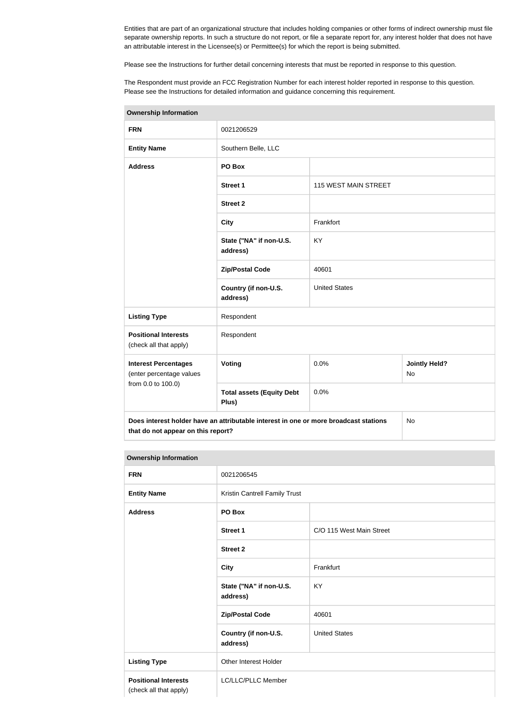Entities that are part of an organizational structure that includes holding companies or other forms of indirect ownership must file separate ownership reports. In such a structure do not report, or file a separate report for, any interest holder that does not have an attributable interest in the Licensee(s) or Permittee(s) for which the report is being submitted.

Please see the Instructions for further detail concerning interests that must be reported in response to this question.

The Respondent must provide an FCC Registration Number for each interest holder reported in response to this question. Please see the Instructions for detailed information and guidance concerning this requirement.

| <b>Ownership Information</b>                            |                                                                                      |                             |                                   |  |
|---------------------------------------------------------|--------------------------------------------------------------------------------------|-----------------------------|-----------------------------------|--|
| <b>FRN</b>                                              | 0021206529                                                                           |                             |                                   |  |
| <b>Entity Name</b>                                      | Southern Belle, LLC                                                                  |                             |                                   |  |
| <b>Address</b>                                          | PO Box                                                                               |                             |                                   |  |
|                                                         | <b>Street 1</b>                                                                      | <b>115 WEST MAIN STREET</b> |                                   |  |
|                                                         | <b>Street 2</b>                                                                      |                             |                                   |  |
|                                                         | <b>City</b>                                                                          | Frankfort                   |                                   |  |
|                                                         | State ("NA" if non-U.S.<br>address)                                                  | <b>KY</b>                   |                                   |  |
|                                                         | <b>Zip/Postal Code</b>                                                               | 40601                       |                                   |  |
|                                                         | Country (if non-U.S.<br>address)                                                     | <b>United States</b>        |                                   |  |
| <b>Listing Type</b>                                     | Respondent                                                                           |                             |                                   |  |
| <b>Positional Interests</b><br>(check all that apply)   | Respondent                                                                           |                             |                                   |  |
| <b>Interest Percentages</b><br>(enter percentage values | Voting                                                                               | 0.0%                        | <b>Jointly Held?</b><br><b>No</b> |  |
| from 0.0 to 100.0)                                      | <b>Total assets (Equity Debt</b><br>Plus)                                            | 0.0%                        |                                   |  |
| that do not appear on this report?                      | Does interest holder have an attributable interest in one or more broadcast stations |                             | <b>No</b>                         |  |

| <b>Ownership Information</b>                          |                                     |                               |  |  |
|-------------------------------------------------------|-------------------------------------|-------------------------------|--|--|
| <b>FRN</b>                                            | 0021206545                          |                               |  |  |
| <b>Entity Name</b>                                    |                                     | Kristin Cantrell Family Trust |  |  |
| <b>Address</b>                                        | PO Box                              |                               |  |  |
|                                                       | <b>Street 1</b>                     | C/O 115 West Main Street      |  |  |
|                                                       | <b>Street 2</b>                     |                               |  |  |
|                                                       | <b>City</b>                         | Frankfurt                     |  |  |
|                                                       | State ("NA" if non-U.S.<br>address) | <b>KY</b>                     |  |  |
|                                                       | <b>Zip/Postal Code</b>              | 40601                         |  |  |
|                                                       | Country (if non-U.S.<br>address)    | <b>United States</b>          |  |  |
| <b>Listing Type</b>                                   | Other Interest Holder               |                               |  |  |
| <b>Positional Interests</b><br>(check all that apply) | LC/LLC/PLLC Member                  |                               |  |  |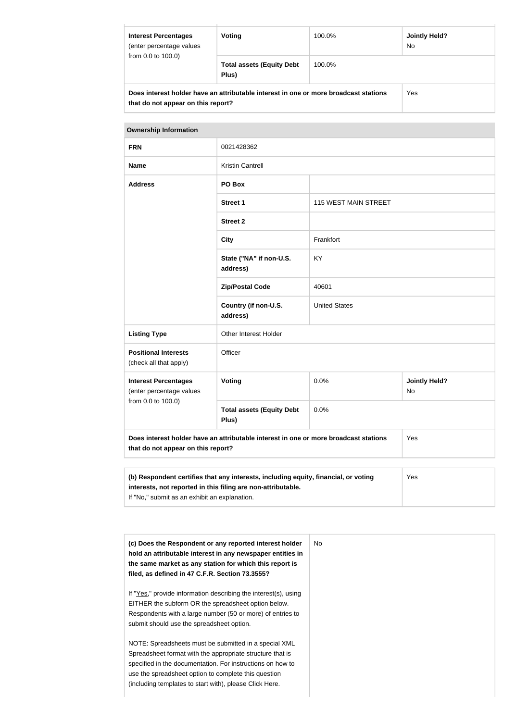| <b>Interest Percentages</b><br>(enter percentage values                                                                    | Voting                                    | 100.0%<br><b>Jointly Held?</b><br><b>No</b> |     |  |
|----------------------------------------------------------------------------------------------------------------------------|-------------------------------------------|---------------------------------------------|-----|--|
| from 0.0 to 100.0)                                                                                                         | <b>Total assets (Equity Debt</b><br>Plus) | 100.0%                                      |     |  |
| Does interest holder have an attributable interest in one or more broadcast stations<br>that do not appear on this report? |                                           |                                             | Yes |  |

| <b>Ownership Information</b>                                                                                               |                                           |                      |                            |  |
|----------------------------------------------------------------------------------------------------------------------------|-------------------------------------------|----------------------|----------------------------|--|
| <b>FRN</b>                                                                                                                 | 0021428362                                |                      |                            |  |
| <b>Name</b>                                                                                                                | <b>Kristin Cantrell</b>                   |                      |                            |  |
| <b>Address</b>                                                                                                             | PO Box                                    |                      |                            |  |
|                                                                                                                            | <b>Street 1</b>                           | 115 WEST MAIN STREET |                            |  |
|                                                                                                                            | <b>Street 2</b>                           |                      |                            |  |
|                                                                                                                            | <b>City</b>                               | Frankfort            |                            |  |
|                                                                                                                            | State ("NA" if non-U.S.<br>address)       | <b>KY</b>            |                            |  |
|                                                                                                                            | <b>Zip/Postal Code</b>                    | 40601                |                            |  |
|                                                                                                                            | Country (if non-U.S.<br>address)          | <b>United States</b> |                            |  |
| <b>Listing Type</b>                                                                                                        | Other Interest Holder                     |                      |                            |  |
| <b>Positional Interests</b><br>(check all that apply)                                                                      | Officer                                   |                      |                            |  |
| <b>Interest Percentages</b><br>(enter percentage values<br>from 0.0 to 100.0)                                              | <b>Voting</b>                             | 0.0%                 | <b>Jointly Held?</b><br>No |  |
|                                                                                                                            | <b>Total assets (Equity Debt</b><br>Plus) | 0.0%                 |                            |  |
| Does interest holder have an attributable interest in one or more broadcast stations<br>that do not appear on this report? |                                           |                      | Yes                        |  |
|                                                                                                                            |                                           |                      |                            |  |
| (b) Respondent certifies that any interests, including equity, financial, or voting                                        | Yes                                       |                      |                            |  |

| (c) Does the Respondent or any reported interest holder<br>hold an attributable interest in any newspaper entities in<br>the same market as any station for which this report is<br>filed, as defined in 47 C.F.R. Section 73.3555? | No. |
|-------------------------------------------------------------------------------------------------------------------------------------------------------------------------------------------------------------------------------------|-----|
| If "Yes," provide information describing the interest(s), using<br>EITHER the subform OR the spreadsheet option below.<br>Respondents with a large number (50 or more) of entries to                                                |     |
| submit should use the spreadsheet option.                                                                                                                                                                                           |     |
| NOTE: Spreadsheets must be submitted in a special XML                                                                                                                                                                               |     |
| Spreadsheet format with the appropriate structure that is<br>specified in the documentation. For instructions on how to                                                                                                             |     |
| use the spreadsheet option to complete this question                                                                                                                                                                                |     |
| (including templates to start with), please Click Here.                                                                                                                                                                             |     |

**interests, not reported in this filing are non-attributable.**

If "No," submit as an exhibit an explanation.